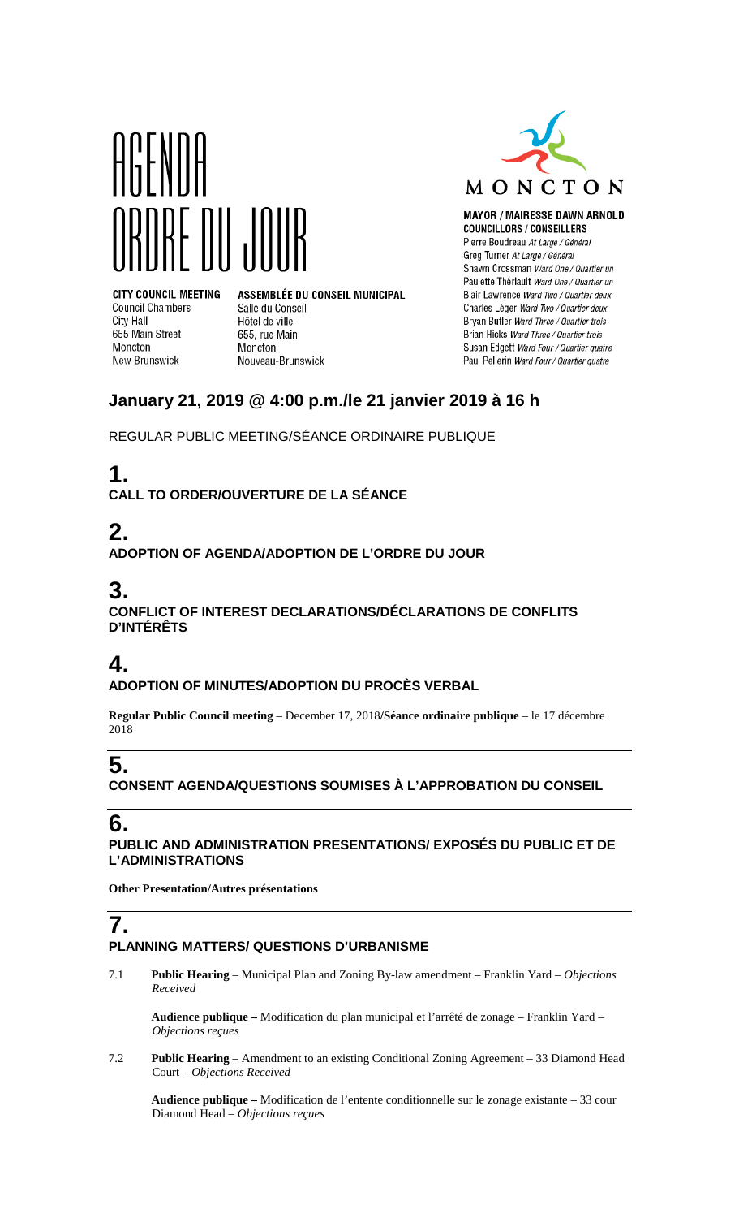



**MAYOR / MAIRESSE DAWN ARNOLD COUNCILLORS / CONSEILLERS** Pierre Boudreau At Large / Général Greg Turner At Large / Général Shawn Crossman Ward One / Quartier un Paulette Thériault Ward One / Quartier un Blair Lawrence Ward Two / Quartier deux Charles Léger Ward Two / Quartier deux Bryan Butler Ward Three / Quartier trois Brian Hicks Ward Three / Quartier trois Susan Edgett Ward Four / Quartier quatre Paul Pellerin Ward Four / Quartier quatre

**CITY COUNCIL MEETING Council Chambers** City Hall 655 Main Street Moncton New Brunswick

ASSEMBLÉE DU CONSEIL MUNICIPAL Salle du Conseil Hôtel de ville 655, rue Main Moncton Nouveau-Brunswick

## **January 21, 2019 @ 4:00 p.m./le 21 janvier 2019 à 16 h**

REGULAR PUBLIC MEETING/SÉANCE ORDINAIRE PUBLIQUE

# **1.**

**CALL TO ORDER/OUVERTURE DE LA SÉANCE**

## **2.**

**ADOPTION OF AGENDA/ADOPTION DE L'ORDRE DU JOUR**

## **3.**

**CONFLICT OF INTEREST DECLARATIONS/DÉCLARATIONS DE CONFLITS D'INTÉRÊTS**

## **4.**

**ADOPTION OF MINUTES/ADOPTION DU PROCÈS VERBAL**

**Regular Public Council meeting** – December 17, 2018**/Séance ordinaire publique** – le 17 décembre 2018

# **5.**

**CONSENT AGENDA/QUESTIONS SOUMISES À L'APPROBATION DU CONSEIL**

## **6.**

**PUBLIC AND ADMINISTRATION PRESENTATIONS/ EXPOSÉS DU PUBLIC ET DE L'ADMINISTRATIONS**

**Other Presentation/Autres présentations**

# **7.**

#### **PLANNING MATTERS/ QUESTIONS D'URBANISME**

7.1 **Public Hearing** – Municipal Plan and Zoning By-law amendment – Franklin Yard – *Objections Received*

**Audience publique –** Modification du plan municipal et l'arrêté de zonage – Franklin Yard – *Objections reçues*

7.2 **Public Hearing** – Amendment to an existing Conditional Zoning Agreement – 33 Diamond Head Court – *Objections Received*

**Audience publique –** Modification de l'entente conditionnelle sur le zonage existante – 33 cour Diamond Head – *Objections reçues*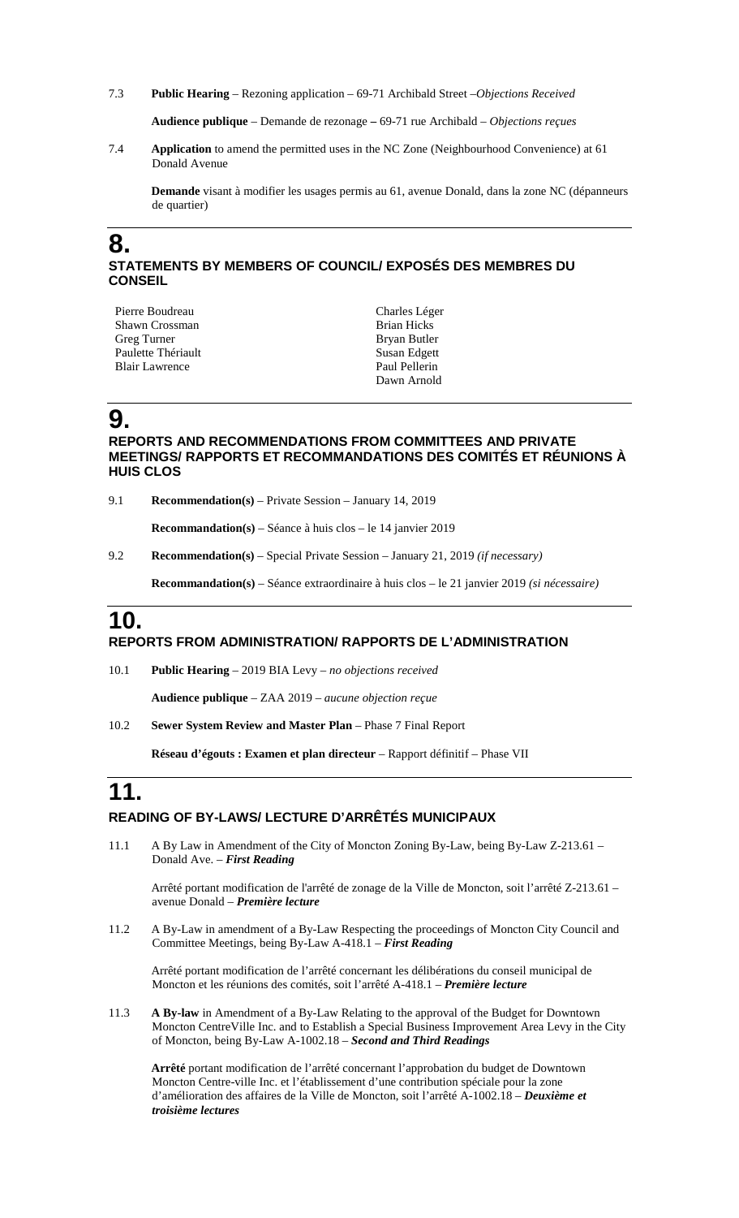7.3 **Public Hearing** – Rezoning application – 69-71 Archibald Street –*Objections Received*

**Audience publique** – Demande de rezonage **–** 69-71 rue Archibald – *Objections reçues*

7.4 **Application** to amend the permitted uses in the NC Zone (Neighbourhood Convenience) at 61 Donald Avenue

**Demande** visant à modifier les usages permis au 61, avenue Donald, dans la zone NC (dépanneurs de quartier)

#### **8. STATEMENTS BY MEMBERS OF COUNCIL/ EXPOSÉS DES MEMBRES DU CONSEIL**

| Pierre Boudreau    | Charles Léger      |
|--------------------|--------------------|
| Shawn Crossman     | <b>Brian Hicks</b> |
| Greg Turner        | Bryan Butler       |
| Paulette Thériault | Susan Edgett       |
| Blair Lawrence     | Paul Pellerin      |
|                    | Dawn Arnold        |

### **9.**

#### **REPORTS AND RECOMMENDATIONS FROM COMMITTEES AND PRIVATE MEETINGS/ RAPPORTS ET RECOMMANDATIONS DES COMITÉS ET RÉUNIONS À HUIS CLOS**

9.1 **Recommendation(s)** – Private Session – January 14, 2019

**Recommandation(s)** – Séance à huis clos – le 14 janvier 2019

9.2 **Recommendation(s)** – Special Private Session – January 21, 2019 *(if necessary)*

**Recommandation(s)** – Séance extraordinaire à huis clos – le 21 janvier 2019 *(si nécessaire)*

### **10. REPORTS FROM ADMINISTRATION/ RAPPORTS DE L'ADMINISTRATION**

10.1 **Public Hearing** – 2019 BIA Levy – *no objections received*

**Audience publique** – ZAA 2019 – *aucune objection reçue*

10.2 **Sewer System Review and Master Plan** – Phase 7 Final Report

**Réseau d'égouts : Examen et plan directeur** – Rapport définitif – Phase VII

#### **11. READING OF BY-LAWS/ LECTURE D'ARRÊTÉS MUNICIPAUX**

11.1 A By Law in Amendment of the City of Moncton Zoning By-Law, being By-Law Z-213.61 – Donald Ave. – *First Reading*

Arrêté portant modification de l'arrêté de zonage de la Ville de Moncton, soit l'arrêté Z-213.61 – avenue Donald – *Première lecture*

11.2 A By-Law in amendment of a By-Law Respecting the proceedings of Moncton City Council and Committee Meetings, being By-Law A-418.1 – *First Reading*

Arrêté portant modification de l'arrêté concernant les délibérations du conseil municipal de Moncton et les réunions des comités, soit l'arrêté A-418.1 – *Première lecture*

11.3 **A By-law** in Amendment of a By-Law Relating to the approval of the Budget for Downtown Moncton CentreVille Inc. and to Establish a Special Business Improvement Area Levy in the City of Moncton, being By-Law A-1002.18 – *Second and Third Readings*

**Arrêté** portant modification de l'arrêté concernant l'approbation du budget de Downtown Moncton Centre-ville Inc. et l'établissement d'une contribution spéciale pour la zone d'amélioration des affaires de la Ville de Moncton, soit l'arrêté A-1002.18 – *Deuxième et troisième lectures*